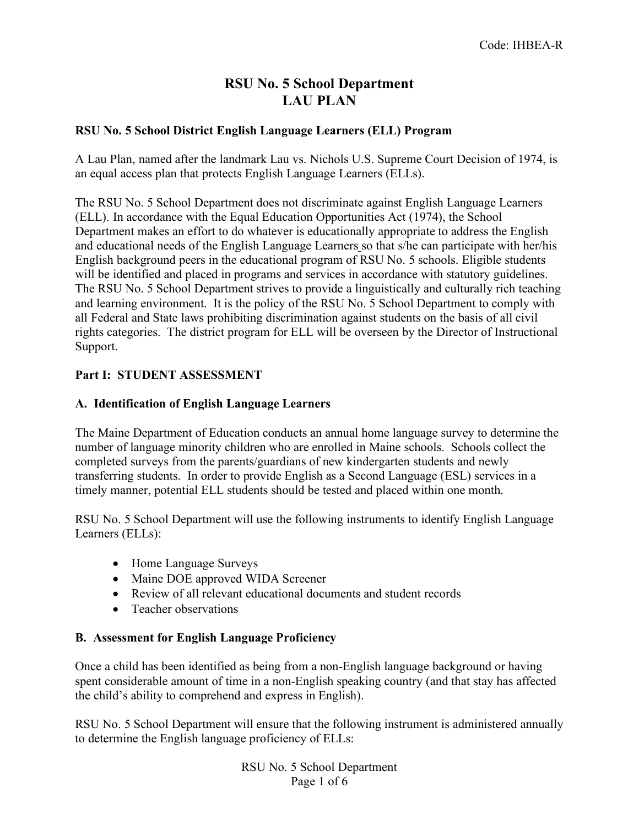# **RSU No. 5 School Department LAU PLAN**

#### **RSU No. 5 School District English Language Learners (ELL) Program**

A Lau Plan, named after the landmark Lau vs. Nichols U.S. Supreme Court Decision of 1974, is an equal access plan that protects English Language Learners (ELLs).

The RSU No. 5 School Department does not discriminate against English Language Learners (ELL). In accordance with the Equal Education Opportunities Act (1974), the School Department makes an effort to do whatever is educationally appropriate to address the English and educational needs of the English Language Learners so that s/he can participate with her/his English background peers in the educational program of RSU No. 5 schools. Eligible students will be identified and placed in programs and services in accordance with statutory guidelines. The RSU No. 5 School Department strives to provide a linguistically and culturally rich teaching and learning environment. It is the policy of the RSU No. 5 School Department to comply with all Federal and State laws prohibiting discrimination against students on the basis of all civil rights categories. The district program for ELL will be overseen by the Director of Instructional Support.

#### **Part I: STUDENT ASSESSMENT**

#### **A. Identification of English Language Learners**

The Maine Department of Education conducts an annual home language survey to determine the number of language minority children who are enrolled in Maine schools. Schools collect the completed surveys from the parents/guardians of new kindergarten students and newly transferring students. In order to provide English as a Second Language (ESL) services in a timely manner, potential ELL students should be tested and placed within one month.

RSU No. 5 School Department will use the following instruments to identify English Language Learners (ELLs):

- Home Language Surveys
- Maine DOE approved WIDA Screener
- Review of all relevant educational documents and student records
- Teacher observations

#### **B. Assessment for English Language Proficiency**

Once a child has been identified as being from a non-English language background or having spent considerable amount of time in a non-English speaking country (and that stay has affected the child's ability to comprehend and express in English).

RSU No. 5 School Department will ensure that the following instrument is administered annually to determine the English language proficiency of ELLs:

> RSU No. 5 School Department Page 1 of 6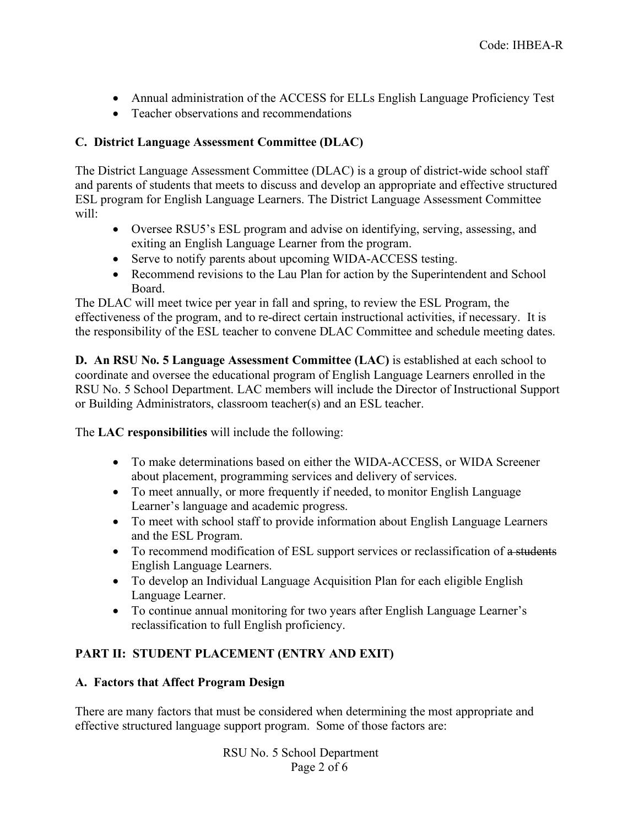- Annual administration of the ACCESS for ELLs English Language Proficiency Test
- Teacher observations and recommendations

## **C. District Language Assessment Committee (DLAC)**

The District Language Assessment Committee (DLAC) is a group of district-wide school staff and parents of students that meets to discuss and develop an appropriate and effective structured ESL program for English Language Learners. The District Language Assessment Committee will:

- Oversee RSU5's ESL program and advise on identifying, serving, assessing, and exiting an English Language Learner from the program.
- Serve to notify parents about upcoming WIDA-ACCESS testing.
- Recommend revisions to the Lau Plan for action by the Superintendent and School Board.

The DLAC will meet twice per year in fall and spring, to review the ESL Program, the effectiveness of the program, and to re-direct certain instructional activities, if necessary. It is the responsibility of the ESL teacher to convene DLAC Committee and schedule meeting dates.

**D. An RSU No. 5 Language Assessment Committee (LAC)** is established at each school to coordinate and oversee the educational program of English Language Learners enrolled in the RSU No. 5 School Department. LAC members will include the Director of Instructional Support or Building Administrators, classroom teacher(s) and an ESL teacher.

The **LAC responsibilities** will include the following:

- To make determinations based on either the WIDA-ACCESS, or WIDA Screener about placement, programming services and delivery of services.
- To meet annually, or more frequently if needed, to monitor English Language Learner's language and academic progress.
- To meet with school staff to provide information about English Language Learners and the ESL Program.
- To recommend modification of ESL support services or reclassification of a students English Language Learners.
- To develop an Individual Language Acquisition Plan for each eligible English Language Learner.
- To continue annual monitoring for two years after English Language Learner's reclassification to full English proficiency.

## **PART II: STUDENT PLACEMENT (ENTRY AND EXIT)**

#### **A. Factors that Affect Program Design**

There are many factors that must be considered when determining the most appropriate and effective structured language support program. Some of those factors are:

> RSU No. 5 School Department Page 2 of 6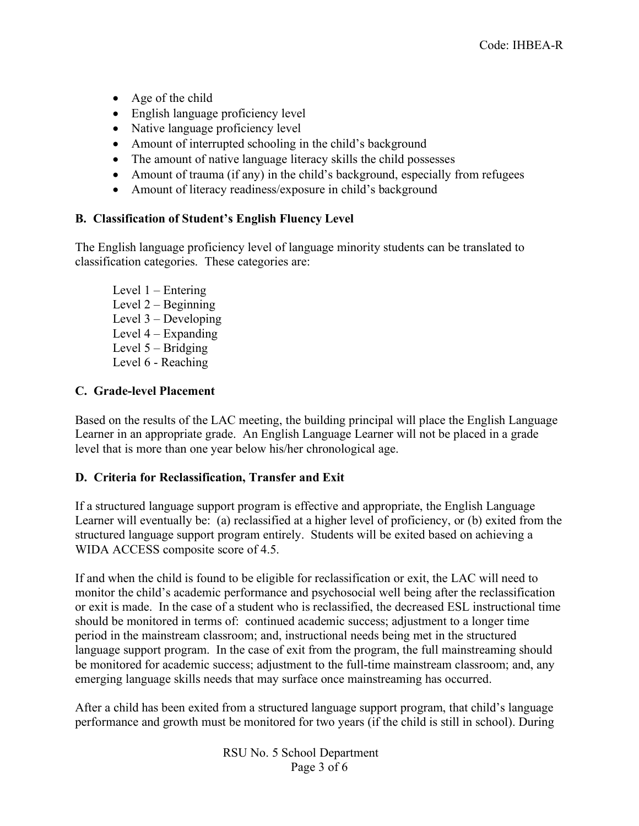- Age of the child
- English language proficiency level
- Native language proficiency level
- Amount of interrupted schooling in the child's background
- The amount of native language literacy skills the child possesses
- Amount of trauma (if any) in the child's background, especially from refugees
- Amount of literacy readiness/exposure in child's background

## **B. Classification of Student's English Fluency Level**

The English language proficiency level of language minority students can be translated to classification categories. These categories are:

Level 1 – Entering Level 2 – Beginning Level 3 – Developing Level 4 – Expanding Level 5 – Bridging Level 6 - Reaching

## **C. Grade-level Placement**

Based on the results of the LAC meeting, the building principal will place the English Language Learner in an appropriate grade. An English Language Learner will not be placed in a grade level that is more than one year below his/her chronological age.

#### **D. Criteria for Reclassification, Transfer and Exit**

If a structured language support program is effective and appropriate, the English Language Learner will eventually be: (a) reclassified at a higher level of proficiency, or (b) exited from the structured language support program entirely. Students will be exited based on achieving a WIDA ACCESS composite score of 4.5.

If and when the child is found to be eligible for reclassification or exit, the LAC will need to monitor the child's academic performance and psychosocial well being after the reclassification or exit is made. In the case of a student who is reclassified, the decreased ESL instructional time should be monitored in terms of: continued academic success; adjustment to a longer time period in the mainstream classroom; and, instructional needs being met in the structured language support program. In the case of exit from the program, the full mainstreaming should be monitored for academic success; adjustment to the full-time mainstream classroom; and, any emerging language skills needs that may surface once mainstreaming has occurred.

After a child has been exited from a structured language support program, that child's language performance and growth must be monitored for two years (if the child is still in school). During

> RSU No. 5 School Department Page 3 of 6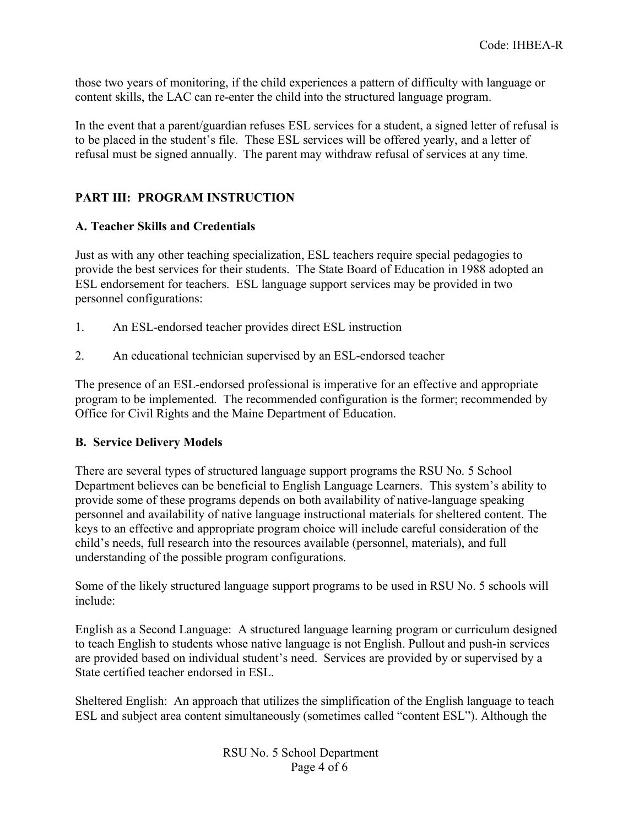those two years of monitoring, if the child experiences a pattern of difficulty with language or content skills, the LAC can re-enter the child into the structured language program.

In the event that a parent/guardian refuses ESL services for a student, a signed letter of refusal is to be placed in the student's file. These ESL services will be offered yearly, and a letter of refusal must be signed annually. The parent may withdraw refusal of services at any time.

## **PART III: PROGRAM INSTRUCTION**

## **A. Teacher Skills and Credentials**

Just as with any other teaching specialization, ESL teachers require special pedagogies to provide the best services for their students. The State Board of Education in 1988 adopted an ESL endorsement for teachers. ESL language support services may be provided in two personnel configurations:

- 1. An ESL-endorsed teacher provides direct ESL instruction
- 2. An educational technician supervised by an ESL-endorsed teacher

The presence of an ESL-endorsed professional is imperative for an effective and appropriate program to be implemented. The recommended configuration is the former; recommended by Office for Civil Rights and the Maine Department of Education.

#### **B. Service Delivery Models**

There are several types of structured language support programs the RSU No. 5 School Department believes can be beneficial to English Language Learners. This system's ability to provide some of these programs depends on both availability of native-language speaking personnel and availability of native language instructional materials for sheltered content. The keys to an effective and appropriate program choice will include careful consideration of the child's needs, full research into the resources available (personnel, materials), and full understanding of the possible program configurations.

Some of the likely structured language support programs to be used in RSU No. 5 schools will include:

English as a Second Language: A structured language learning program or curriculum designed to teach English to students whose native language is not English. Pullout and push-in services are provided based on individual student's need. Services are provided by or supervised by a State certified teacher endorsed in ESL.

Sheltered English: An approach that utilizes the simplification of the English language to teach ESL and subject area content simultaneously (sometimes called "content ESL"). Although the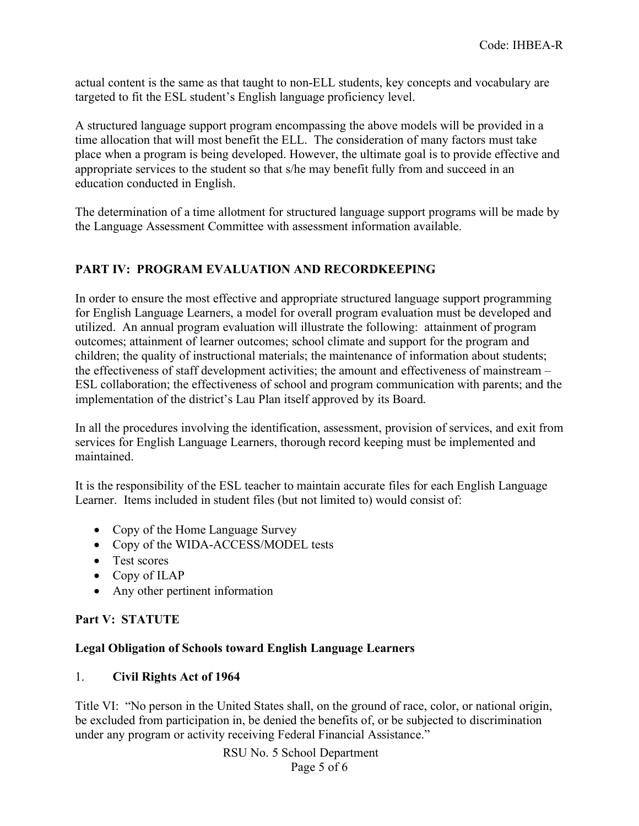actual content is the same as that taught to non-ELL students, key concepts and vocabulary are targeted to fit the ESL student's English language proficiency level.

A structured language support program encompassing the above models will be provided in a time allocation that will most benefit the ELL. The consideration of many factors must take place when a program is being developed. However, the ultimate goal is to provide effective and appropriate services to the student so that s/he may benefit fully from and succeed in an education conducted in English.

The determination of a time allotment for structured language support programs will be made by the Language Assessment Committee with assessment information available.

## **PART IV: PROGRAM EVALUATION AND RECORDKEEPING**

In order to ensure the most effective and appropriate structured language support programming for English Language Learners, a model for overall program evaluation must be developed and utilized. An annual program evaluation will illustrate the following: attainment of program outcomes; attainment of learner outcomes; school climate and support for the program and children; the quality of instructional materials; the maintenance of information about students; the effectiveness of staff development activities; the amount and effectiveness of mainstream – ESL collaboration; the effectiveness of school and program communication with parents; and the implementation of the district's Lau Plan itself approved by its Board.

In all the procedures involving the identification, assessment, provision of services, and exit from services for English Language Learners, thorough record keeping must be implemented and maintained.

It is the responsibility of the ESL teacher to maintain accurate files for each English Language Learner. Items included in student files (but not limited to) would consist of:

- Copy of the Home Language Survey
- Copy of the WIDA-ACCESS/MODEL tests
- Test scores
- Copy of ILAP
- Any other pertinent information

#### **Part V: STATUTE**

#### **Legal Obligation of Schools toward English Language Learners**

#### 1. **Civil Rights Act of 1964**

Title VI: "No person in the United States shall, on the ground of race, color, or national origin, be excluded from participation in, be denied the benefits of, or be subjected to discrimination under any program or activity receiving Federal Financial Assistance."

> RSU No. 5 School Department Page 5 of 6